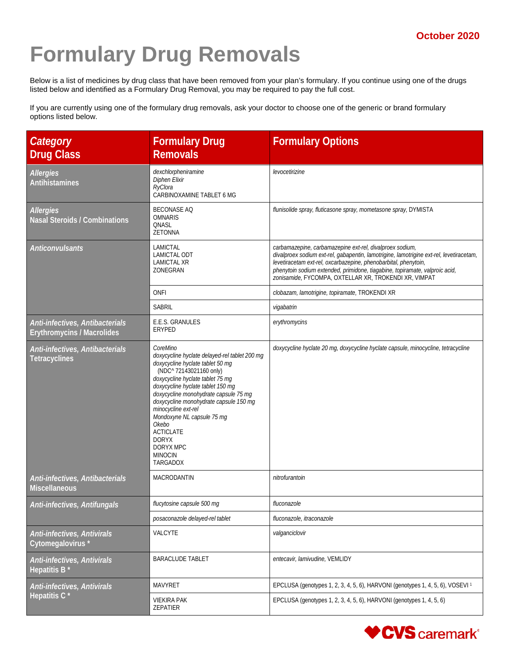## **Formulary Drug Removals**

Below is a list of medicines by drug class that have been removed from your plan's formulary. If you continue using one of the drugs listed below and identified as a Formulary Drug Removal, you may be required to pay the full cost.

If you are currently using one of the formulary drug removals, ask your doctor to choose one of the generic or brand formulary options listed below.

| Category<br><b>Drug Class</b>                                        | <b>Formulary Drug</b><br><b>Removals</b>                                                                                                                                                                                                                                                                                                                                                                                                 | <b>Formulary Options</b>                                                                                                                                                                                                                                                                                                                                       |
|----------------------------------------------------------------------|------------------------------------------------------------------------------------------------------------------------------------------------------------------------------------------------------------------------------------------------------------------------------------------------------------------------------------------------------------------------------------------------------------------------------------------|----------------------------------------------------------------------------------------------------------------------------------------------------------------------------------------------------------------------------------------------------------------------------------------------------------------------------------------------------------------|
| <b>Allergies</b><br><b>Antihistamines</b>                            | dexchlorpheniramine<br>Diphen Elixir<br>RyClora<br>CARBINOXAMINE TABLET 6 MG                                                                                                                                                                                                                                                                                                                                                             | levocetirizine                                                                                                                                                                                                                                                                                                                                                 |
| Allergies<br><b>Nasal Steroids / Combinations</b>                    | <b>BECONASE AQ</b><br><b>OMNARIS</b><br>QNASL<br><b>ZETONNA</b>                                                                                                                                                                                                                                                                                                                                                                          | flunisolide spray, fluticasone spray, mometasone spray, DYMISTA                                                                                                                                                                                                                                                                                                |
| <b>Anticonvulsants</b>                                               | LAMICTAL<br>LAMICTAL ODT<br><b>LAMICTAL XR</b><br>ZONEGRAN                                                                                                                                                                                                                                                                                                                                                                               | carbamazepine, carbamazepine ext-rel, divalproex sodium,<br>divalproex sodium ext-rel, gabapentin, lamotrigine, lamotrigine ext-rel, levetiracetam,<br>levetiracetam ext-rel, oxcarbazepine, phenobarbital, phenytoin,<br>phenytoin sodium extended, primidone, tiagabine, topiramate, valproic acid,<br>zonisamide, FYCOMPA, OXTELLAR XR, TROKENDI XR, VIMPAT |
|                                                                      | ONFI                                                                                                                                                                                                                                                                                                                                                                                                                                     | clobazam, lamotrigine, topiramate, TROKENDI XR                                                                                                                                                                                                                                                                                                                 |
|                                                                      | SABRIL                                                                                                                                                                                                                                                                                                                                                                                                                                   | vigabatrin                                                                                                                                                                                                                                                                                                                                                     |
| Anti-infectives, Antibacterials<br><b>Erythromycins / Macrolides</b> | E.E.S. GRANULES<br>ERYPED                                                                                                                                                                                                                                                                                                                                                                                                                | erythromycins                                                                                                                                                                                                                                                                                                                                                  |
| Anti-infectives, Antibacterials<br><b>Tetracyclines</b>              | CoreMino<br>doxycycline hyclate delayed-rel tablet 200 mg<br>doxycycline hyclate tablet 50 mg<br>(NDC^ 72143021160 only)<br>doxycycline hyclate tablet 75 mg<br>doxycycline hyclate tablet 150 mg<br>doxycycline monohydrate capsule 75 mg<br>doxycycline monohydrate capsule 150 mg<br>minocycline ext-rel<br>Mondoxyne NL capsule 75 mg<br>Okebo<br><b>ACTICLATE</b><br><b>DORYX</b><br>DORYX MPC<br><b>MINOCIN</b><br><b>TARGADOX</b> | doxycycline hyclate 20 mg, doxycycline hyclate capsule, minocycline, tetracycline                                                                                                                                                                                                                                                                              |
| Anti-infectives, Antibacterials<br><b>Miscellaneous</b>              | MACRODANTIN                                                                                                                                                                                                                                                                                                                                                                                                                              | nitrofurantoin                                                                                                                                                                                                                                                                                                                                                 |
| Anti-infectives, Antifungals                                         | flucytosine capsule 500 mg                                                                                                                                                                                                                                                                                                                                                                                                               | fluconazole                                                                                                                                                                                                                                                                                                                                                    |
|                                                                      | posaconazole delayed-rel tablet                                                                                                                                                                                                                                                                                                                                                                                                          | fluconazole, itraconazole                                                                                                                                                                                                                                                                                                                                      |
| Anti-infectives, Antivirals<br>Cytomegalovirus*                      | VALCYTE                                                                                                                                                                                                                                                                                                                                                                                                                                  | valganciclovir                                                                                                                                                                                                                                                                                                                                                 |
| Anti-infectives, Antivirals<br>Hepatitis B <sup>*</sup>              | <b>BARACLUDE TABLET</b>                                                                                                                                                                                                                                                                                                                                                                                                                  | entecavir, lamivudine, VEMLIDY                                                                                                                                                                                                                                                                                                                                 |
| Anti-infectives, Antivirals                                          | MAVYRET                                                                                                                                                                                                                                                                                                                                                                                                                                  | EPCLUSA (genotypes 1, 2, 3, 4, 5, 6), HARVONI (genotypes 1, 4, 5, 6), VOSEVI <sup>1</sup>                                                                                                                                                                                                                                                                      |
| Hepatitis C <sup>*</sup>                                             | <b>VIEKIRA PAK</b><br>ZEPATIER                                                                                                                                                                                                                                                                                                                                                                                                           | EPCLUSA (genotypes 1, 2, 3, 4, 5, 6), HARVONI (genotypes 1, 4, 5, 6)                                                                                                                                                                                                                                                                                           |

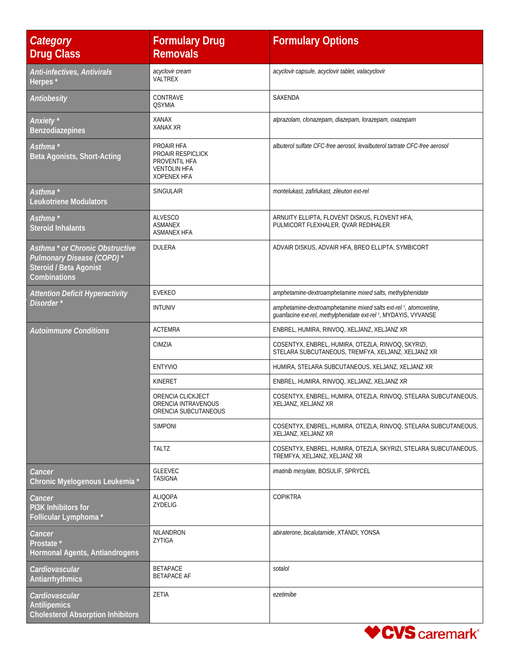| <b>Category</b><br><b>Drug Class</b>                                                                              | <b>Formulary Drug</b><br><b>Removals</b>                                                             | <b>Formulary Options</b>                                                                                                                         |
|-------------------------------------------------------------------------------------------------------------------|------------------------------------------------------------------------------------------------------|--------------------------------------------------------------------------------------------------------------------------------------------------|
| Anti-infectives, Antivirals<br>Herpes*                                                                            | acyclovir cream<br>VALTREX                                                                           | acyclovir capsule, acyclovir tablet, valacyclovir                                                                                                |
| Antiobesity                                                                                                       | CONTRAVE<br><b>QSYMIA</b>                                                                            | SAXENDA                                                                                                                                          |
| Anxiety <sup>*</sup><br><b>Benzodiazepines</b>                                                                    | <b>XANAX</b><br>XANAX XR                                                                             | alprazolam, clonazepam, diazepam, lorazepam, oxazepam                                                                                            |
| Asthma *<br>Beta Agonists, Short-Acting                                                                           | PROAIR HFA<br><b>PROAIR RESPICLICK</b><br>PROVENTIL HFA<br><b>VENTOLIN HFA</b><br><b>XOPENEX HFA</b> | albuterol sulfate CFC-free aerosol, levalbuterol tartrate CFC-free aerosol                                                                       |
| Asthma *<br><b>Leukotriene Modulators</b>                                                                         | <b>SINGULAIR</b>                                                                                     | montelukast, zafirlukast, zileuton ext-rel                                                                                                       |
| Asthma *<br><b>Steroid Inhalants</b>                                                                              | <b>ALVESCO</b><br><b>ASMANEX</b><br><b>ASMANEX HFA</b>                                               | ARNUITY ELLIPTA, FLOVENT DISKUS, FLOVENT HFA,<br>PULMICORT FLEXHALER, QVAR REDIHALER                                                             |
| Asthma <sup>*</sup> or Chronic Obstructive<br>Pulmonary Disease (COPD)*<br>Steroid / Beta Agonist<br>Combinations | <b>DULERA</b>                                                                                        | ADVAIR DISKUS, ADVAIR HFA, BREO ELLIPTA, SYMBICORT                                                                                               |
| <b>Attention Deficit Hyperactivity</b>                                                                            | <b>EVEKEO</b>                                                                                        | amphetamine-dextroamphetamine mixed salts, methylphenidate                                                                                       |
| Disorder*                                                                                                         | <b>INTUNIV</b>                                                                                       | amphetamine-dextroamphetamine mixed salts ext-rel <sup>t</sup> , atomoxetine,<br>guanfacine ext-rel, methylphenidate ext-rel +, MYDAYIS, VYVANSE |
| <b>Autoimmune Conditions</b>                                                                                      | <b>ACTEMRA</b>                                                                                       | ENBREL, HUMIRA, RINVOQ, XELJANZ, XELJANZ XR                                                                                                      |
|                                                                                                                   | CIMZIA                                                                                               | COSENTYX, ENBREL, HUMIRA, OTEZLA, RINVOQ, SKYRIZI,<br>STELARA SUBCUTANEOUS, TREMFYA, XELJANZ, XELJANZ XR                                         |
|                                                                                                                   | <b>ENTYVIO</b>                                                                                       | HUMIRA, STELARA SUBCUTANEOUS, XELJANZ, XELJANZ XR                                                                                                |
|                                                                                                                   | KINERET                                                                                              | ENBREL, HUMIRA, RINVOQ, XELJANZ, XELJANZ XR                                                                                                      |
|                                                                                                                   | ORENCIA CLICKJECT<br>ORENCIA INTRAVENOUS<br>ORENCIA SUBCUTANEOUS                                     | COSENTYX, ENBREL, HUMIRA, OTEZLA, RINVOQ, STELARA SUBCUTANEOUS,<br>XELJANZ, XELJANZ XR                                                           |
|                                                                                                                   | <b>SIMPONI</b>                                                                                       | COSENTYX, ENBREL, HUMIRA, OTEZLA, RINVOQ, STELARA SUBCUTANEOUS,<br>XELJANZ, XELJANZ XR                                                           |
|                                                                                                                   | <b>TALTZ</b>                                                                                         | COSENTYX, ENBREL, HUMIRA, OTEZLA, SKYRIZI, STELARA SUBCUTANEOUS,<br>TREMFYA, XELJANZ, XELJANZ XR                                                 |
| Cancer<br>Chronic Myelogenous Leukemia *                                                                          | <b>GLEEVEC</b><br><b>TASIGNA</b>                                                                     | imatinib mesylate, BOSULIF, SPRYCEL                                                                                                              |
| Cancer<br>PI3K Inhibitors for<br>Follicular Lymphoma*                                                             | <b>ALIQOPA</b><br>ZYDELIG                                                                            | <b>COPIKTRA</b>                                                                                                                                  |
| Cancer<br>Prostate *<br>Hormonal Agents, Antiandrogens                                                            | NILANDRON<br>ZYTIGA                                                                                  | abiraterone, bicalutamide, XTANDI, YONSA                                                                                                         |
| Cardiovascular<br>Antiarrhythmics                                                                                 | <b>BETAPACE</b><br><b>BETAPACE AF</b>                                                                | sotalol                                                                                                                                          |
| Cardiovascular<br><b>Antilipemics</b><br><b>Cholesterol Absorption Inhibitors</b>                                 | ZETIA                                                                                                | ezetimibe                                                                                                                                        |

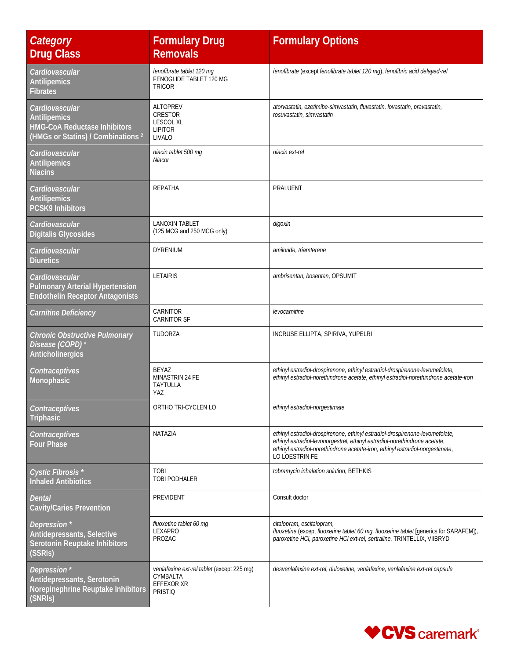| Category<br><b>Drug Class</b>                                                                                          | <b>Formulary Drug</b><br><b>Removals</b>                                               | <b>Formulary Options</b>                                                                                                                                                                                                                                      |
|------------------------------------------------------------------------------------------------------------------------|----------------------------------------------------------------------------------------|---------------------------------------------------------------------------------------------------------------------------------------------------------------------------------------------------------------------------------------------------------------|
| Cardiovascular<br><b>Antilipemics</b><br><b>Fibrates</b>                                                               | fenofibrate tablet 120 mg<br>FENOGLIDE TABLET 120 MG<br><b>TRICOR</b>                  | fenofibrate (except fenofibrate tablet 120 mg), fenofibric acid delayed-rel                                                                                                                                                                                   |
| Cardiovascular<br>Antilipemics<br><b>HMG-CoA Reductase Inhibitors</b><br>(HMGs or Statins) / Combinations <sup>2</sup> | <b>ALTOPREV</b><br>CRESTOR<br><b>LESCOL XL</b><br><b>LIPITOR</b><br>LIVALO             | atorvastatin, ezetimibe-simvastatin, fluvastatin, lovastatin, pravastatin,<br>rosuvastatin, simvastatin                                                                                                                                                       |
| Cardiovascular<br>Antilipemics<br><b>Niacins</b>                                                                       | niacin tablet 500 mg<br>Niacor                                                         | niacin ext-rel                                                                                                                                                                                                                                                |
| Cardiovascular<br><b>Antilipemics</b><br><b>PCSK9 Inhibitors</b>                                                       | REPATHA                                                                                | PRALUENT                                                                                                                                                                                                                                                      |
| Cardiovascular<br><b>Digitalis Glycosides</b>                                                                          | <b>LANOXIN TABLET</b><br>(125 MCG and 250 MCG only)                                    | digoxin                                                                                                                                                                                                                                                       |
| Cardiovascular<br><b>Diuretics</b>                                                                                     | <b>DYRENIUM</b>                                                                        | amiloride, triamterene                                                                                                                                                                                                                                        |
| Cardiovascular<br><b>Pulmonary Arterial Hypertension</b><br><b>Endothelin Receptor Antagonists</b>                     | <b>LETAIRIS</b>                                                                        | ambrisentan, bosentan, OPSUMIT                                                                                                                                                                                                                                |
| Carnitine Deficiency                                                                                                   | CARNITOR<br><b>CARNITOR SF</b>                                                         | levocarnitine                                                                                                                                                                                                                                                 |
| <b>Chronic Obstructive Pulmonary</b><br>Disease (COPD)<br>Anticholinergics                                             | TUDORZA                                                                                | INCRUSE ELLIPTA, SPIRIVA, YUPELRI                                                                                                                                                                                                                             |
| Contraceptives<br>Monophasic                                                                                           | <b>BEYAZ</b><br>MINASTRIN 24 FE<br><b>TAYTULLA</b><br>YAZ                              | ethinyl estradiol-drospirenone, ethinyl estradiol-drospirenone-levomefolate,<br>ethinyl estradiol-norethindrone acetate, ethinyl estradiol-norethindrone acetate-iron                                                                                         |
| Contraceptives<br><b>Triphasic</b>                                                                                     | ORTHO TRI-CYCLEN LO                                                                    | ethinyl estradiol-norgestimate                                                                                                                                                                                                                                |
| Contraceptives<br><b>Four Phase</b>                                                                                    | NATAZIA                                                                                | ethinyl estradiol-drospirenone, ethinyl estradiol-drospirenone-levomefolate,<br>ethinyl estradiol-levonorgestrel, ethinyl estradiol-norethindrone acetate,<br>ethinyl estradiol-norethindrone acetate-iron, ethinyl estradiol-norgestimate,<br>LO LOESTRIN FE |
| Cystic Fibrosis *<br><b>Inhaled Antibiotics</b>                                                                        | <b>TOBI</b><br>TOBI PODHALER                                                           | tobramycin inhalation solution, BETHKIS                                                                                                                                                                                                                       |
| <b>Dental</b><br><b>Cavity/Caries Prevention</b>                                                                       | PREVIDENT                                                                              | Consult doctor                                                                                                                                                                                                                                                |
| Depression *<br>Antidepressants, Selective<br>Serotonin Reuptake Inhibitors<br>(SSRIs)                                 | fluoxetine tablet 60 mg<br>LEXAPRO<br>PROZAC                                           | citalopram, escitalopram,<br>fluoxetine (except fluoxetine tablet 60 mg, fluoxetine tablet [generics for SARAFEM]),<br>paroxetine HCI, paroxetine HCI ext-rel, sertraline, TRINTELLIX, VIIBRYD                                                                |
| Depression*<br>Antidepressants, Serotonin<br>Norepinephrine Reuptake Inhibitors<br>(SNRIs)                             | venlafaxine ext-rel tablet (except 225 mg)<br>CYMBALTA<br>EFFEXOR XR<br><b>PRISTIQ</b> | desvenlafaxine ext-rel, duloxetine, venlafaxine, venlafaxine ext-rel capsule                                                                                                                                                                                  |

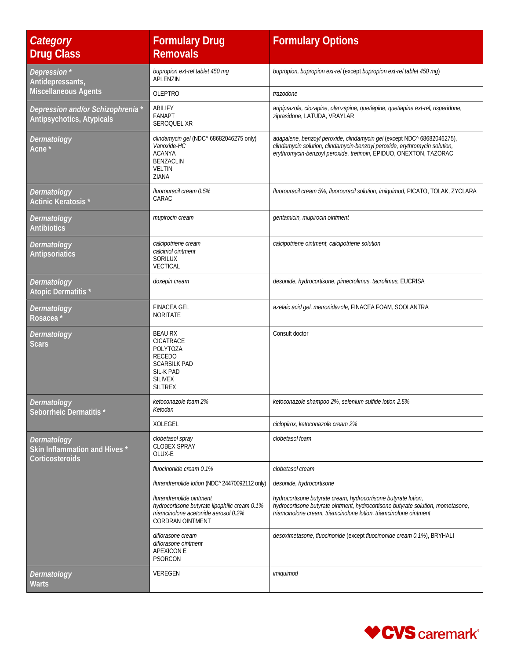| Category<br><b>Drug Class</b>                                   | <b>Formulary Drug</b><br><b>Removals</b>                                                                                                | <b>Formulary Options</b>                                                                                                                                                                                                    |
|-----------------------------------------------------------------|-----------------------------------------------------------------------------------------------------------------------------------------|-----------------------------------------------------------------------------------------------------------------------------------------------------------------------------------------------------------------------------|
| Depression*<br>Antidepressants,                                 | bupropion ext-rel tablet 450 mg<br>APLENZIN                                                                                             | bupropion, bupropion ext-rel (except bupropion ext-rel tablet 450 mg)                                                                                                                                                       |
| <b>Miscellaneous Agents</b>                                     | <b>OLEPTRO</b>                                                                                                                          | trazodone                                                                                                                                                                                                                   |
| Depression and/or Schizophrenia*<br>Antipsychotics, Atypicals   | ABILIFY<br><b>FANAPT</b><br>SEROQUEL XR                                                                                                 | aripiprazole, clozapine, olanzapine, quetiapine, quetiapine ext-rel, risperidone,<br>ziprasidone, LATUDA, VRAYLAR                                                                                                           |
| Dermatology<br>Acne <sup>*</sup>                                | clindamycin gel (NDC^ 68682046275 only)<br>Vanoxide-HC<br><b>ACANYA</b><br><b>BENZACLIN</b><br><b>VELTIN</b><br>ZIANA                   | adapalene, benzoyl peroxide, clindamycin gel (except NDC^ 68682046275),<br>clindamycin solution, clindamycin-benzoyl peroxide, erythromycin solution,<br>erythromycin-benzoyl peroxide, tretinoin, EPIDUO, ONEXTON, TAZORAC |
| Dermatology<br>Actinic Keratosis*                               | fluorouracil cream 0.5%<br>CARAC                                                                                                        | fluorouracil cream 5%, fluorouracil solution, imiquimod, PICATO, TOLAK, ZYCLARA                                                                                                                                             |
| Dermatology<br><b>Antibiotics</b>                               | mupirocin cream                                                                                                                         | gentamicin, mupirocin ointment                                                                                                                                                                                              |
| Dermatology<br><b>Antipsoriatics</b>                            | calcipotriene cream<br>calcitriol ointment<br>SORILUX<br>VECTICAL                                                                       | calcipotriene ointment, calcipotriene solution                                                                                                                                                                              |
| Dermatology<br>Atopic Dermatitis*                               | doxepin cream                                                                                                                           | desonide, hydrocortisone, pimecrolimus, tacrolimus, EUCRISA                                                                                                                                                                 |
| Dermatology<br>Rosacea <sup>*</sup>                             | <b>FINACEA GEL</b><br><b>NORITATE</b>                                                                                                   | azelaic acid gel, metronidazole, FINACEA FOAM, SOOLANTRA                                                                                                                                                                    |
| Dermatology<br><b>Scars</b>                                     | <b>BEAU RX</b><br>CICATRACE<br><b>POLYTOZA</b><br><b>RECEDO</b><br><b>SCARSILK PAD</b><br>SIL-K PAD<br><b>SILIVEX</b><br><b>SILTREX</b> | Consult doctor                                                                                                                                                                                                              |
| Dermatology<br>Seborrheic Dermatitis*                           | ketoconazole foam 2%<br>Ketodan                                                                                                         | ketoconazole shampoo 2%, selenium sulfide lotion 2.5%                                                                                                                                                                       |
|                                                                 | XOLEGEL                                                                                                                                 | ciclopirox, ketoconazole cream 2%                                                                                                                                                                                           |
| Dermatology<br>Skin Inflammation and Hives *<br>Corticosteroids | clobetasol spray<br><b>CLOBEX SPRAY</b><br>OLUX-E                                                                                       | clobetasol foam                                                                                                                                                                                                             |
|                                                                 | fluocinonide cream 0.1%                                                                                                                 | clobetasol cream                                                                                                                                                                                                            |
|                                                                 | flurandrenolide lotion (NDC^ 24470092112 only)                                                                                          | desonide, hydrocortisone                                                                                                                                                                                                    |
|                                                                 | flurandrenolide ointment<br>hydrocortisone butyrate lipophilic cream 0.1%<br>triamcinolone acetonide aerosol 0.2%<br>CORDRAN OINTMENT   | hydrocortisone butyrate cream, hydrocortisone butyrate lotion,<br>hydrocortisone butyrate ointment, hydrocortisone butyrate solution, mometasone,<br>triamcinolone cream, triamcinolone lotion, triamcinolone ointment      |
|                                                                 | diflorasone cream<br>diflorasone ointment<br><b>APEXICON E</b><br>PSORCON                                                               | desoximetasone, fluocinonide (except fluocinonide cream 0.1%), BRYHALI                                                                                                                                                      |
| Dermatology<br><b>Warts</b>                                     | VEREGEN                                                                                                                                 | imiquimod                                                                                                                                                                                                                   |

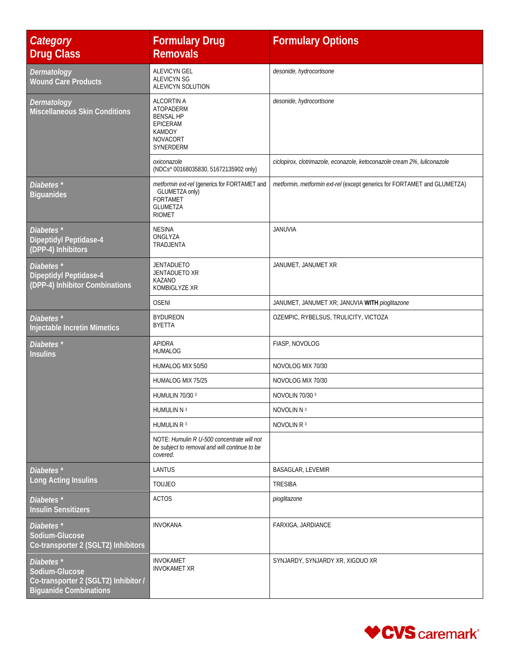| Category<br><b>Drug Class</b>                                                                                    | <b>Formulary Drug</b><br><b>Removals</b>                                                                              | <b>Formulary Options</b>                                                 |
|------------------------------------------------------------------------------------------------------------------|-----------------------------------------------------------------------------------------------------------------------|--------------------------------------------------------------------------|
| Dermatology<br><b>Wound Care Products</b>                                                                        | <b>ALEVICYN GEL</b><br>ALEVICYN SG<br>ALEVICYN SOLUTION                                                               | desonide, hydrocortisone                                                 |
| Dermatology<br><b>Miscellaneous Skin Conditions</b>                                                              | <b>ALCORTIN A</b><br>ATOPADERM<br><b>BENSAL HP</b><br><b>EPICERAM</b><br><b>KAMDOY</b><br>NOVACORT<br>SYNERDERM       | desonide, hydrocortisone                                                 |
|                                                                                                                  | oxiconazole<br>(NDCs^ 00168035830, 51672135902 only)                                                                  | ciclopirox, clotrimazole, econazole, ketoconazole cream 2%, luliconazole |
| Diabetes <sup>*</sup><br><b>Biguanides</b>                                                                       | metformin ext-rel (generics for FORTAMET and<br>GLUMETZA only)<br><b>FORTAMET</b><br><b>GLUMETZA</b><br><b>RIOMET</b> | metformin, metformin ext-rel (except generics for FORTAMET and GLUMETZA) |
| Diabetes <sup>*</sup><br><b>Dipeptidyl Peptidase-4</b><br>(DPP-4) Inhibitors                                     | <b>NESINA</b><br>ONGLYZA<br>TRADJENTA                                                                                 | <b>JANUVIA</b>                                                           |
| Diabetes <sup>*</sup><br><b>Dipeptidyl Peptidase-4</b><br>(DPP-4) Inhibitor Combinations                         | <b>JENTADUETO</b><br>JENTADUETO XR<br>KAZANO<br>KOMBIGLYZE XR                                                         | JANUMET, JANUMET XR                                                      |
|                                                                                                                  | <b>OSENI</b>                                                                                                          | JANUMET, JANUMET XR; JANUVIA WITH pioglitazone                           |
| Diabetes <sup>*</sup><br><b>Injectable Incretin Mimetics</b>                                                     | <b>BYDUREON</b><br><b>BYETTA</b>                                                                                      | OZEMPIC, RYBELSUS, TRULICITY, VICTOZA                                    |
| Diabetes <sup>*</sup><br><b>Insulins</b>                                                                         | <b>APIDRA</b><br><b>HUMALOG</b>                                                                                       | FIASP, NOVOLOG                                                           |
|                                                                                                                  | HUMALOG MIX 50/50                                                                                                     | NOVOLOG MIX 70/30                                                        |
|                                                                                                                  | HUMALOG MIX 75/25                                                                                                     | NOVOLOG MIX 70/30                                                        |
|                                                                                                                  | HUMULIN 70/30 3                                                                                                       | NOVOLIN 70/30 3                                                          |
|                                                                                                                  | HUMULIN N 3                                                                                                           | NOVOLIN N 3                                                              |
|                                                                                                                  | HUMULIN R 3                                                                                                           | NOVOLIN R <sup>3</sup>                                                   |
|                                                                                                                  | NOTE: Humulin R U-500 concentrate will not<br>be subject to removal and will continue to be<br>covered.               |                                                                          |
| Diabetes <sup>*</sup>                                                                                            | LANTUS                                                                                                                | BASAGLAR, LEVEMIR                                                        |
| Long Acting Insulins                                                                                             | <b>TOUJEO</b>                                                                                                         | <b>TRESIBA</b>                                                           |
| Diabetes <sup>*</sup><br><b>Insulin Sensitizers</b>                                                              | <b>ACTOS</b>                                                                                                          | pioglitazone                                                             |
| Diabetes <sup>*</sup><br>Sodium-Glucose<br>Co-transporter 2 (SGLT2) Inhibitors                                   | <b>INVOKANA</b>                                                                                                       | FARXIGA, JARDIANCE                                                       |
| Diabetes <sup>*</sup><br>Sodium-Glucose<br>Co-transporter 2 (SGLT2) Inhibitor /<br><b>Biguanide Combinations</b> | <b>INVOKAMET</b><br><b>INVOKAMET XR</b>                                                                               | SYNJARDY, SYNJARDY XR, XIGDUO XR                                         |

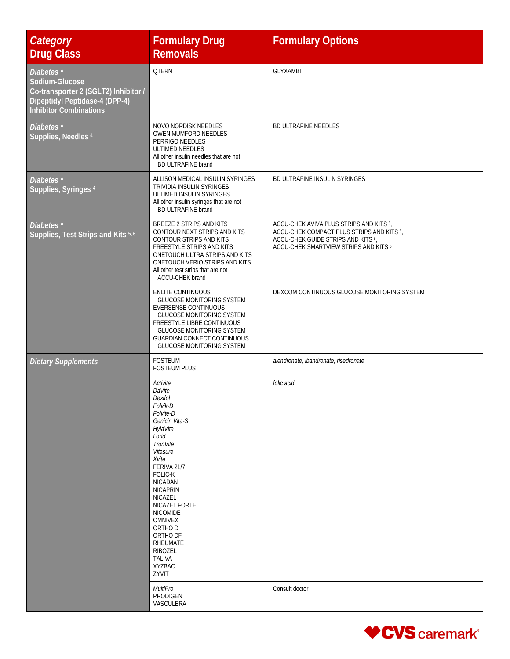| Category<br><b>Drug Class</b>                                                                                                          | <b>Formulary Drug</b><br><b>Removals</b>                                                                                                                                                                                                                                                                                                                | <b>Formulary Options</b>                                                                                                                                            |
|----------------------------------------------------------------------------------------------------------------------------------------|---------------------------------------------------------------------------------------------------------------------------------------------------------------------------------------------------------------------------------------------------------------------------------------------------------------------------------------------------------|---------------------------------------------------------------------------------------------------------------------------------------------------------------------|
| Diabetes*<br>Sodium-Glucose<br>Co-transporter 2 (SGLT2) Inhibitor /<br>Dipeptidyl Peptidase-4 (DPP-4)<br><b>Inhibitor Combinations</b> | <b>QTERN</b>                                                                                                                                                                                                                                                                                                                                            | <b>GLYXAMBI</b>                                                                                                                                                     |
| Diabetes <sup>*</sup><br>Supplies, Needles <sup>4</sup>                                                                                | NOVO NORDISK NEEDLES<br>OWEN MUMFORD NEEDLES<br>PERRIGO NEEDLES<br>ULTIMED NEEDLES<br>All other insulin needles that are not<br><b>BD ULTRAFINE brand</b>                                                                                                                                                                                               | BD ULTRAFINE NEEDLES                                                                                                                                                |
| Diabetes*<br>Supplies, Syringes 4                                                                                                      | ALLISON MEDICAL INSULIN SYRINGES<br>TRIVIDIA INSULIN SYRINGES<br>ULTIMED INSULIN SYRINGES<br>All other insulin syringes that are not<br><b>BD ULTRAFINE brand</b>                                                                                                                                                                                       | BD ULTRAFINE INSULIN SYRINGES                                                                                                                                       |
| Diabetes*<br>Supplies, Test Strips and Kits 5,6                                                                                        | BREEZE 2 STRIPS AND KITS<br>CONTOUR NEXT STRIPS AND KITS<br>CONTOUR STRIPS AND KITS<br><b>FREESTYLE STRIPS AND KITS</b><br>ONETOUCH ULTRA STRIPS AND KITS<br>ONETOUCH VERIO STRIPS AND KITS<br>All other test strips that are not<br>ACCU-CHEK brand                                                                                                    | ACCU-CHEK AVIVA PLUS STRIPS AND KITS 5,<br>ACCU-CHEK COMPACT PLUS STRIPS AND KITS 5,<br>ACCU-CHEK GUIDE STRIPS AND KITS 5,<br>ACCU-CHEK SMARTVIEW STRIPS AND KITS 5 |
|                                                                                                                                        | <b>ENLITE CONTINUOUS</b><br><b>GLUCOSE MONITORING SYSTEM</b><br>EVERSENSE CONTINUOUS<br><b>GLUCOSE MONITORING SYSTEM</b><br>FREESTYLE LIBRE CONTINUOUS<br><b>GLUCOSE MONITORING SYSTEM</b><br><b>GUARDIAN CONNECT CONTINUOUS</b><br><b>GLUCOSE MONITORING SYSTEM</b>                                                                                    | DEXCOM CONTINUOUS GLUCOSE MONITORING SYSTEM                                                                                                                         |
| <b>Dietary Supplements</b>                                                                                                             | <b>FOSTEUM</b><br><b>FOSTEUM PLUS</b>                                                                                                                                                                                                                                                                                                                   | alendronate, ibandronate, risedronate                                                                                                                               |
|                                                                                                                                        | Activite<br>DaVite<br>Dexifol<br>Folvik-D<br>Folvite-D<br>Genicin Vita-S<br>HylaVite<br>Lorid<br>TronVite<br>Vitasure<br>Xvite<br>FERIVA 21/7<br>FOLIC-K<br><b>NICADAN</b><br><b>NICAPRIN</b><br>NICAZEL<br>NICAZEL FORTE<br><b>NICOMIDE</b><br><b>OMNIVEX</b><br>ORTHO D<br>ORTHO DF<br><b>RHEUMATE</b><br>RIBOZEL<br><b>TALIVA</b><br>XYZBAC<br>ZYVIT | folic acid                                                                                                                                                          |
|                                                                                                                                        | MultiPro<br>PRODIGEN<br>VASCULERA                                                                                                                                                                                                                                                                                                                       | Consult doctor                                                                                                                                                      |

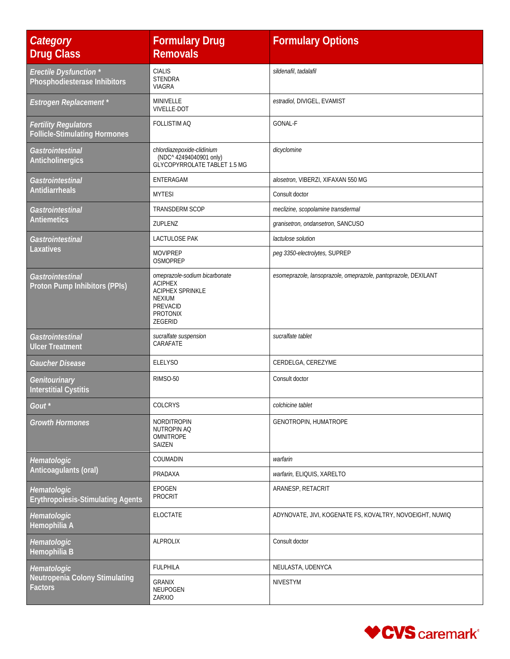| Category<br><b>Drug Class</b>                                       | <b>Formulary Drug</b><br><b>Removals</b>                                                                                       | <b>Formulary Options</b>                                       |
|---------------------------------------------------------------------|--------------------------------------------------------------------------------------------------------------------------------|----------------------------------------------------------------|
| <b>Erectile Dysfunction</b> *<br>Phosphodiesterase Inhibitors       | <b>CIALIS</b><br><b>STENDRA</b><br><b>VIAGRA</b>                                                                               | sildenafil, tadalafil                                          |
| <b>Estrogen Replacement</b> *                                       | MINIVELLE<br><b>VIVELLE-DOT</b>                                                                                                | estradiol, DIVIGEL, EVAMIST                                    |
| <b>Fertility Regulators</b><br><b>Follicle-Stimulating Hormones</b> | FOLLISTIM AQ                                                                                                                   | <b>GONAL-F</b>                                                 |
| Gastrointestinal<br>Anticholinergics                                | chlordiazepoxide-clidinium<br>(NDC^42494040901 only)<br>GLYCOPYRROLATE TABLET 1.5 MG                                           | dicyclomine                                                    |
| Gastrointestinal                                                    | ENTERAGAM                                                                                                                      | alosetron, VIBERZI, XIFAXAN 550 MG                             |
| <b>Antidiarrheals</b>                                               | <b>MYTESI</b>                                                                                                                  | Consult doctor                                                 |
| Gastrointestinal                                                    | TRANSDERM SCOP                                                                                                                 | meclizine, scopolamine transdermal                             |
| <b>Antiemetics</b>                                                  | ZUPLENZ                                                                                                                        | granisetron, ondansetron, SANCUSO                              |
| Gastrointestinal                                                    | LACTULOSE PAK                                                                                                                  | lactulose solution                                             |
| Laxatives                                                           | <b>MOVIPREP</b><br><b>OSMOPREP</b>                                                                                             | peg 3350-electrolytes, SUPREP                                  |
| Gastrointestinal<br>Proton Pump Inhibitors (PPIs)                   | omeprazole-sodium bicarbonate<br><b>ACIPHEX</b><br><b>ACIPHEX SPRINKLE</b><br><b>NEXIUM</b><br>PREVACID<br>PROTONIX<br>ZEGERID | esomeprazole, lansoprazole, omeprazole, pantoprazole, DEXILANT |
| Gastrointestinal<br><b>Ulcer Treatment</b>                          | sucralfate suspension<br>CARAFATE                                                                                              | sucralfate tablet                                              |
| Gaucher Disease                                                     | <b>ELELYSO</b>                                                                                                                 | CERDELGA, CEREZYME                                             |
| Genitourinary<br><b>Interstitial Cystitis</b>                       | RIMSO-50                                                                                                                       | Consult doctor                                                 |
| Gout                                                                | <b>COLCRYS</b>                                                                                                                 | colchicine tablet                                              |
| <b>Growth Hormones</b>                                              | NORDITROPIN<br>NUTROPIN AQ<br>OMNITROPE<br>SAIZEN                                                                              | GENOTROPIN, HUMATROPE                                          |
| Hematologic                                                         | COUMADIN                                                                                                                       | warfarin                                                       |
| Anticoagulants (oral)                                               | PRADAXA                                                                                                                        | warfarin, ELIQUIS, XARELTO                                     |
| Hematologic<br><b>Erythropoiesis-Stimulating Agents</b>             | <b>EPOGEN</b><br><b>PROCRIT</b>                                                                                                | ARANESP, RETACRIT                                              |
| Hematologic<br>Hemophilia A                                         | ELOCTATE                                                                                                                       | ADYNOVATE, JIVI, KOGENATE FS, KOVALTRY, NOVOEIGHT, NUWIQ       |
| Hematologic<br>Hemophilia B                                         | <b>ALPROLIX</b>                                                                                                                | Consult doctor                                                 |
| Hematologic                                                         | <b>FULPHILA</b>                                                                                                                | NEULASTA, UDENYCA                                              |
| Neutropenia Colony Stimulating<br><b>Factors</b>                    | <b>GRANIX</b><br>NEUPOGEN<br>ZARXIO                                                                                            | NIVESTYM                                                       |

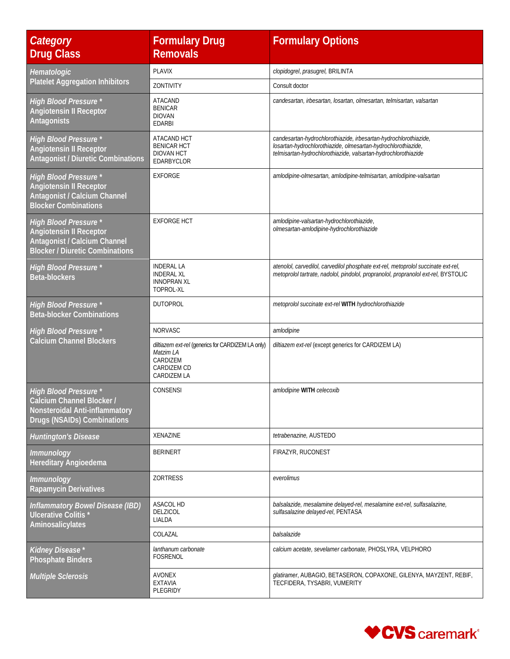| Category<br><b>Drug Class</b>                                                                                                            | <b>Formulary Drug</b><br><b>Removals</b>                                                                 | <b>Formulary Options</b>                                                                                                                                                                            |
|------------------------------------------------------------------------------------------------------------------------------------------|----------------------------------------------------------------------------------------------------------|-----------------------------------------------------------------------------------------------------------------------------------------------------------------------------------------------------|
| Hematologic                                                                                                                              | <b>PLAVIX</b>                                                                                            | clopidogrel, prasugrel, BRILINTA                                                                                                                                                                    |
| <b>Platelet Aggregation Inhibitors</b>                                                                                                   | ZONTIVITY                                                                                                | Consult doctor                                                                                                                                                                                      |
| <b>High Blood Pressure *</b><br><b>Angiotensin II Receptor</b><br><b>Antagonists</b>                                                     | <b>ATACAND</b><br><b>BENICAR</b><br><b>DIOVAN</b><br><b>EDARBI</b>                                       | candesartan, irbesartan, losartan, olmesartan, telmisartan, valsartan                                                                                                                               |
| <b>High Blood Pressure *</b><br><b>Angiotensin II Receptor</b><br><b>Antagonist / Diuretic Combinations</b>                              | ATACAND HCT<br><b>BENICAR HCT</b><br><b>DIOVAN HCT</b><br>EDARBYCLOR                                     | candesartan-hydrochlorothiazide, irbesartan-hydrochlorothiazide,<br>losartan-hydrochlorothiazide, olmesartan-hydrochlorothiazide,<br>telmisartan-hydrochlorothiazide, valsartan-hydrochlorothiazide |
| <b>High Blood Pressure *</b><br><b>Angiotensin II Receptor</b><br>Antagonist / Calcium Channel<br><b>Blocker Combinations</b>            | <b>EXFORGE</b>                                                                                           | amlodipine-olmesartan, amlodipine-telmisartan, amlodipine-valsartan                                                                                                                                 |
| <b>High Blood Pressure *</b><br><b>Angiotensin II Receptor</b><br>Antagonist / Calcium Channel<br><b>Blocker / Diuretic Combinations</b> | <b>EXFORGE HCT</b>                                                                                       | amlodipine-valsartan-hydrochlorothiazide,<br>olmesartan-amlodipine-hydrochlorothiazide                                                                                                              |
| <b>High Blood Pressure *</b><br><b>Beta-blockers</b>                                                                                     | <b>INDERAL LA</b><br><b>INDERAL XL</b><br><b>INNOPRAN XL</b><br>TOPROL-XL                                | atenolol, carvedilol, carvedilol phosphate ext-rel, metoprolol succinate ext-rel,<br>metoprolol tartrate, nadolol, pindolol, propranolol, propranolol ext-rel, BYSTOLIC                             |
| <b>High Blood Pressure *</b><br><b>Beta-blocker Combinations</b>                                                                         | <b>DUTOPROL</b>                                                                                          | metoprolol succinate ext-rel WITH hydrochlorothiazide                                                                                                                                               |
| <b>High Blood Pressure *</b>                                                                                                             | NORVASC                                                                                                  | amlodipine                                                                                                                                                                                          |
| <b>Calcium Channel Blockers</b>                                                                                                          | diltiazem ext-rel (generics for CARDIZEM LA only)<br>Matzim LA<br>CARDIZEM<br>CARDIZEM CD<br>CARDIZEM LA | diltiazem ext-rel (except generics for CARDIZEM LA)                                                                                                                                                 |
| <b>High Blood Pressure *</b><br>Calcium Channel Blocker /<br>Nonsteroidal Anti-inflammatory<br>Drugs (NSAIDs) Combinations               | <b>CONSENSI</b>                                                                                          | amlodipine WITH celecoxib                                                                                                                                                                           |
| <b>Huntington's Disease</b>                                                                                                              | XENAZINE                                                                                                 | tetrabenazine, AUSTEDO                                                                                                                                                                              |
| <b>Immunology</b><br>Hereditary Angioedema                                                                                               | <b>BERINERT</b>                                                                                          | FIRAZYR, RUCONEST                                                                                                                                                                                   |
| <b>Immunology</b><br><b>Rapamycin Derivatives</b>                                                                                        | <b>ZORTRESS</b>                                                                                          | everolimus                                                                                                                                                                                          |
| <b>Inflammatory Bowel Disease (IBD)</b><br>Ulcerative Colitis <sup>*</sup><br>Aminosalicylates                                           | <b>ASACOL HD</b><br><b>DELZICOL</b><br>LIALDA                                                            | balsalazide, mesalamine delayed-rel, mesalamine ext-rel, sulfasalazine,<br>sulfasalazine delayed-rel, PENTASA                                                                                       |
|                                                                                                                                          | COLAZAL                                                                                                  | balsalazide                                                                                                                                                                                         |
| Kidney Disease*<br><b>Phosphate Binders</b>                                                                                              | lanthanum carbonate<br>FOSRENOL                                                                          | calcium acetate, sevelamer carbonate, PHOSLYRA, VELPHORO                                                                                                                                            |
| <b>Multiple Sclerosis</b>                                                                                                                | <b>AVONEX</b><br><b>EXTAVIA</b><br>PLEGRIDY                                                              | glatiramer, AUBAGIO, BETASERON, COPAXONE, GILENYA, MAYZENT, REBIF,<br>TECFIDERA, TYSABRI, VUMERITY                                                                                                  |

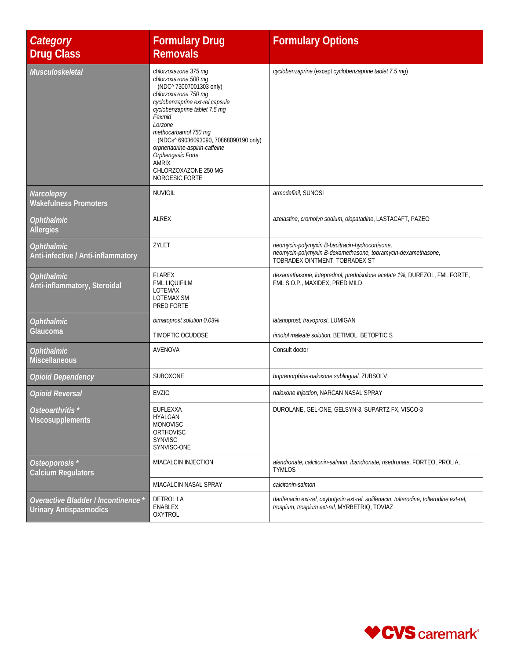| Category<br><b>Drug Class</b>                               | <b>Formulary Drug</b><br><b>Removals</b>                                                                                                                                                                                                                                                                                                                                 | <b>Formulary Options</b>                                                                                                                           |
|-------------------------------------------------------------|--------------------------------------------------------------------------------------------------------------------------------------------------------------------------------------------------------------------------------------------------------------------------------------------------------------------------------------------------------------------------|----------------------------------------------------------------------------------------------------------------------------------------------------|
| Musculoskeletal                                             | chlorzoxazone 375 mg<br>chlorzoxazone 500 mg<br>(NDC^ 73007001303 only)<br>chlorzoxazone 750 mg<br>cyclobenzaprine ext-rel capsule<br>cyclobenzaprine tablet 7.5 mg<br>Fexmid<br>Lorzone<br>methocarbamol 750 mg<br>(NDCs^69036093090, 70868090190 only)<br>orphenadrine-aspirin-caffeine<br>Orphengesic Forte<br><b>AMRIX</b><br>CHLORZOXAZONE 250 MG<br>NORGESIC FORTE | cyclobenzaprine (except cyclobenzaprine tablet 7.5 mg)                                                                                             |
| Narcolepsy<br><b>Wakefulness Promoters</b>                  | <b>NUVIGIL</b>                                                                                                                                                                                                                                                                                                                                                           | armodafinil, SUNOSI                                                                                                                                |
| <i><b>Ophthalmic</b></i><br><b>Allergies</b>                | <b>ALREX</b>                                                                                                                                                                                                                                                                                                                                                             | azelastine, cromolyn sodium, olopatadine, LASTACAFT, PAZEO                                                                                         |
| <b>Ophthalmic</b><br>Anti-infective / Anti-inflammatory     | ZYLET                                                                                                                                                                                                                                                                                                                                                                    | neomycin-polymyxin B-bacitracin-hydrocortisone,<br>neomycin-polymyxin B-dexamethasone, tobramycin-dexamethasone,<br>TOBRADEX OINTMENT, TOBRADEX ST |
| <b>Ophthalmic</b><br>Anti-inflammatory, Steroidal           | <b>FLAREX</b><br><b>FML LIQUIFILM</b><br>LOTEMAX<br>LOTEMAX SM<br>PRED FORTE                                                                                                                                                                                                                                                                                             | dexamethasone, loteprednol, prednisolone acetate 1%, DUREZOL, FML FORTE,<br>FML S.O.P., MAXIDEX, PRED MILD                                         |
| <b>Ophthalmic</b>                                           | bimatoprost solution 0.03%                                                                                                                                                                                                                                                                                                                                               | latanoprost, travoprost, LUMIGAN                                                                                                                   |
| Glaucoma                                                    | TIMOPTIC OCUDOSE                                                                                                                                                                                                                                                                                                                                                         | timolol maleate solution, BETIMOL, BETOPTIC S                                                                                                      |
| <b>Ophthalmic</b><br><b>Miscellaneous</b>                   | AVENOVA                                                                                                                                                                                                                                                                                                                                                                  | Consult doctor                                                                                                                                     |
| <b>Opioid Dependency</b>                                    | SUBOXONE                                                                                                                                                                                                                                                                                                                                                                 | buprenorphine-naloxone sublingual, ZUBSOLV                                                                                                         |
| <b>Opioid Reversal</b>                                      | <b>EVZIO</b>                                                                                                                                                                                                                                                                                                                                                             | naloxone injection, NARCAN NASAL SPRAY                                                                                                             |
| Osteoarthritis <sup>*</sup><br>Viscosupplements             | <b>EUFLEXXA</b><br>HYALGAN<br><b>MONOVISC</b><br>ORTHOVISC<br><b>SYNVISC</b><br>SYNVISC-ONE                                                                                                                                                                                                                                                                              | DUROLANE, GEL-ONE, GELSYN-3, SUPARTZ FX, VISCO-3                                                                                                   |
| Osteoporosis <sup>*</sup><br><b>Calcium Regulators</b>      | MIACALCIN INJECTION                                                                                                                                                                                                                                                                                                                                                      | alendronate, calcitonin-salmon, ibandronate, risedronate, FORTEO, PROLIA,<br>TYMLOS                                                                |
|                                                             | MIACALCIN NASAL SPRAY                                                                                                                                                                                                                                                                                                                                                    | calcitonin-salmon                                                                                                                                  |
| Overactive Bladder / Incontinence<br>Urinary Antispasmodics | DETROL LA<br>ENABLEX<br>OXYTROL                                                                                                                                                                                                                                                                                                                                          | darifenacin ext-rel, oxybutynin ext-rel, solifenacin, tolterodine, tolterodine ext-rel,<br>trospium, trospium ext-rel, MYRBETRIQ, TOVIAZ           |

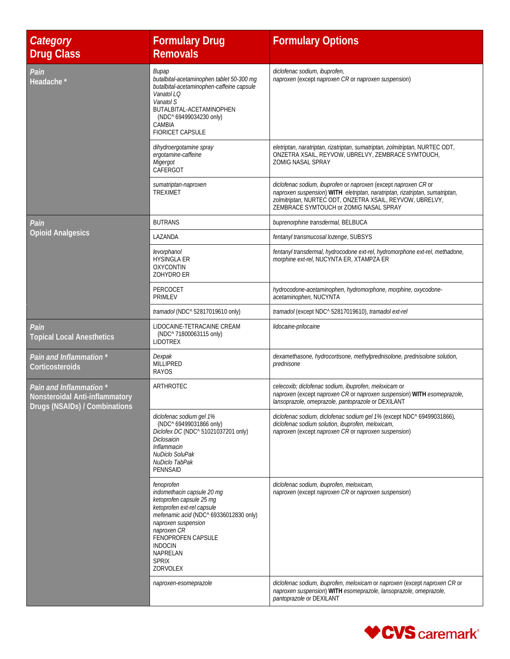| Category<br><b>Drug Class</b>                                                              | <b>Formulary Drug</b><br><b>Removals</b>                                                                                                                                                                                                                           | <b>Formulary Options</b>                                                                                                                                                                                                                               |
|--------------------------------------------------------------------------------------------|--------------------------------------------------------------------------------------------------------------------------------------------------------------------------------------------------------------------------------------------------------------------|--------------------------------------------------------------------------------------------------------------------------------------------------------------------------------------------------------------------------------------------------------|
| Pain<br>Headache *                                                                         | Bupap<br>butalbital-acetaminophen tablet 50-300 mg<br>butalbital-acetaminophen-caffeine capsule<br>Vanatol LQ<br>Vanatol S<br>BUTALBITAL-ACETAMINOPHEN<br>(NDC^ 69499034230 only)<br>CAMBIA<br><b>FIORICET CAPSULE</b>                                             | diclofenac sodium, ibuprofen,<br>naproxen (except naproxen CR or naproxen suspension)                                                                                                                                                                  |
|                                                                                            | dihydroergotamine spray<br>ergotamine-caffeine<br>Migergot<br>CAFERGOT                                                                                                                                                                                             | eletriptan, naratriptan, rizatriptan, sumatriptan, zolmitriptan, NURTEC ODT,<br>ONZETRA XSAIL, REYVOW, UBRELVY, ZEMBRACE SYMTOUCH,<br><b>ZOMIG NASAL SPRAY</b>                                                                                         |
|                                                                                            | sumatriptan-naproxen<br><b>TREXIMET</b>                                                                                                                                                                                                                            | diclofenac sodium, ibuprofen or naproxen (except naproxen CR or<br>naproxen suspension) WITH eletriptan, naratriptan, rizatriptan, sumatriptan,<br>zolmitriptan, NURTEC ODT, ONZETRA XSAIL, REYVOW, UBRELVY,<br>ZEMBRACE SYMTOUCH or ZOMIG NASAL SPRAY |
| Pain                                                                                       | <b>BUTRANS</b>                                                                                                                                                                                                                                                     | buprenorphine transdermal, BELBUCA                                                                                                                                                                                                                     |
| <b>Opioid Analgesics</b>                                                                   | LAZANDA                                                                                                                                                                                                                                                            | fentanyl transmucosal lozenge, SUBSYS                                                                                                                                                                                                                  |
|                                                                                            | levorphanol<br><b>HYSINGLA ER</b><br><b>OXYCONTIN</b><br>ZOHYDRO ER                                                                                                                                                                                                | fentanyl transdermal, hydrocodone ext-rel, hydromorphone ext-rel, methadone,<br>morphine ext-rel, NUCYNTA ER, XTAMPZA ER                                                                                                                               |
|                                                                                            | PERCOCET<br><b>PRIMLEV</b>                                                                                                                                                                                                                                         | hydrocodone-acetaminophen, hydromorphone, morphine, oxycodone-<br>acetaminophen, NUCYNTA                                                                                                                                                               |
|                                                                                            | tramadol (NDC^ 52817019610 only)                                                                                                                                                                                                                                   | tramadol (except NDC^ 52817019610), tramadol ext-rel                                                                                                                                                                                                   |
| Pain<br><b>Topical Local Anesthetics</b>                                                   | LIDOCAINE-TETRACAINE CREAM<br>(NDC^ 71800063115 only)<br>LIDOTREX                                                                                                                                                                                                  | lidocaine-prilocaine                                                                                                                                                                                                                                   |
| Pain and Inflammation *<br>Corticosteroids                                                 | Dexpak<br><b>MILLIPRED</b><br><b>RAYOS</b>                                                                                                                                                                                                                         | dexamethasone, hydrocortisone, methylprednisolone, prednisolone solution,<br>prednisone                                                                                                                                                                |
| Pain and Inflammation *<br>Nonsteroidal Anti-inflammatory<br>Drugs (NSAIDs) / Combinations | ARTHROTEC                                                                                                                                                                                                                                                          | celecoxib; diclofenac sodium, ibuprofen, meloxicam or<br>naproxen (except naproxen CR or naproxen suspension) WITH esomeprazole,<br>lansoprazole, omeprazole, pantoprazole or DEXILANT                                                                 |
|                                                                                            | diclofenac sodium gel 1%<br>(NDC^ 69499031866 only)<br>Diclofex DC (NDC^51021037201 only)<br>Diclosaicin<br>Inflammacin<br>NuDiclo SoluPak<br>NuDiclo TabPak<br><b>PENNSAID</b>                                                                                    | diclofenac sodium, diclofenac sodium gel 1% (except NDC^ 69499031866),<br>diclofenac sodium solution, ibuprofen, meloxicam,<br>naproxen (except naproxen CR or naproxen suspension)                                                                    |
|                                                                                            | fenoprofen<br>indomethacin capsule 20 mg<br>ketoprofen capsule 25 mg<br>ketoprofen ext-rel capsule<br>mefenamic acid (NDC^ 69336012830 only)<br>naproxen suspension<br>naproxen CR<br>FENOPROFEN CAPSULE<br><b>INDOCIN</b><br>NAPRELAN<br><b>SPRIX</b><br>ZORVOLEX | diclofenac sodium, ibuprofen, meloxicam,<br>naproxen (except naproxen CR or naproxen suspension)                                                                                                                                                       |
|                                                                                            | naproxen-esomeprazole                                                                                                                                                                                                                                              | diclofenac sodium, ibuprofen, meloxicam or naproxen (except naproxen CR or<br>naproxen suspension) WITH esomeprazole, lansoprazole, omeprazole,<br>pantoprazole or DEXILANT                                                                            |

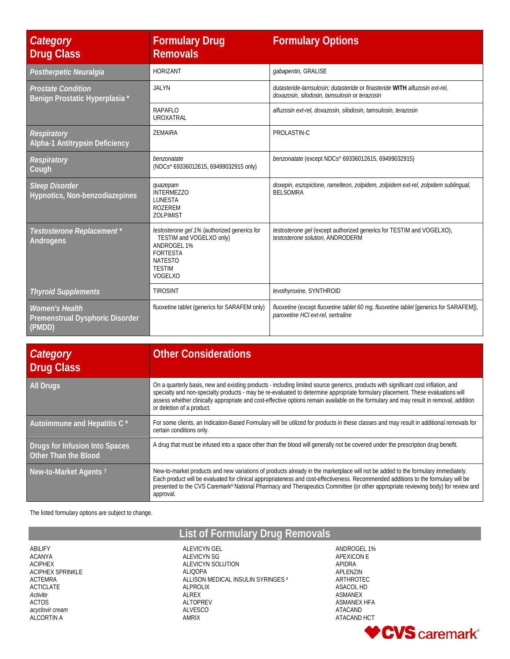| Category<br><b>Drug Class</b>                                      | <b>Formulary Drug</b><br><b>Removals</b>                                                                                                                 | <b>Formulary Options</b>                                                                                                     |
|--------------------------------------------------------------------|----------------------------------------------------------------------------------------------------------------------------------------------------------|------------------------------------------------------------------------------------------------------------------------------|
| Postherpetic Neuralgia                                             | <b>HORIZANT</b>                                                                                                                                          | gabapentin, GRALISE                                                                                                          |
| <b>Prostate Condition</b><br>Benign Prostatic Hyperplasia *        | <b>JALYN</b>                                                                                                                                             | dutasteride-tamsulosin: dutasteride or finasteride WITH alfuzosin ext-rel.<br>doxazosin, silodosin, tamsulosin or terazosin  |
|                                                                    | RAPAFLO<br><b>UROXATRAL</b>                                                                                                                              | alfuzosin ext-rel, doxazosin, silodosin, tamsulosin, terazosin                                                               |
| <b>Respiratory</b><br><b>Alpha-1 Antitrypsin Deficiency</b>        | ZEMAIRA                                                                                                                                                  | PROLASTIN-C                                                                                                                  |
| Respiratory<br>Cough                                               | benzonatate<br>(NDCs^69336012615, 69499032915 only)                                                                                                      | benzonatate (except NDCs^ 69336012615, 69499032915)                                                                          |
| <b>Sleep Disorder</b><br>Hypnotics, Non-benzodiazepines            | quazepam<br><b>INTERMEZZO</b><br><b>LUNESTA</b><br><b>ROZEREM</b><br><b>ZOLPIMIST</b>                                                                    | doxepin, eszopiclone, ramelteon, zolpidem, zolpidem ext-rel, zolpidem sublingual,<br><b>BELSOMRA</b>                         |
| Testosterone Replacement *<br>Androgens                            | testosterone gel 1% (authorized generics for<br>TESTIM and VOGELXO only)<br>ANDROGEL 1%<br><b>FORTESTA</b><br><b>NATESTO</b><br><b>TESTIM</b><br>VOGELXO | <i>testosterone gel</i> (except authorized generics for TESTIM and VOGELXO),<br>testosterone solution, ANDRODERM             |
| <b>Thyroid Supplements</b>                                         | <b>TIROSINT</b>                                                                                                                                          | levothyroxine, SYNTHROID                                                                                                     |
| <b>Women's Health</b><br>Premenstrual Dysphoric Disorder<br>(PMDD) | fluoxetine tablet (generics for SARAFEM only)                                                                                                            | fluoxetine (except fluoxetine tablet 60 mg, fluoxetine tablet [generics for SARAFEM]),<br>paroxetine HCI ext-rel, sertraline |

| Category<br>Drug Class                                 | <b>Other Considerations</b>                                                                                                                                                                                                                                                                                                                                                                                                                  |
|--------------------------------------------------------|----------------------------------------------------------------------------------------------------------------------------------------------------------------------------------------------------------------------------------------------------------------------------------------------------------------------------------------------------------------------------------------------------------------------------------------------|
| <b>All Drugs</b>                                       | On a quarterly basis, new and existing products - including limited source generics, products with significant cost inflation, and<br>specialty and non-specialty products - may be re-evaluated to determine appropriate formulary placement. These evaluations will<br>assess whether clinically appropriate and cost-effective options remain available on the formulary and may result in removal, addition<br>or deletion of a product. |
| Autoimmune and Hepatitis C *                           | For some clients, an Indication-Based Formulary will be utilized for products in these classes and may result in additional removals for<br>certain conditions only.                                                                                                                                                                                                                                                                         |
| Drugs for Infusion Into Spaces<br>Other Than the Blood | A drug that must be infused into a space other than the blood will generally not be covered under the prescription drug benefit.                                                                                                                                                                                                                                                                                                             |
| New-to-Market Agents <sup>7</sup>                      | New-to-market products and new variations of products already in the marketplace will not be added to the formulary immediately.<br>Each product will be evaluated for clinical appropriateness and cost-effectiveness. Recommended additions to the formulary will be<br>presented to the CVS Caremark® National Pharmacy and Therapeutics Committee (or other appropriate reviewing body) for review and<br>approval.                      |

The listed formulary options are subject to change.

ABILIFY ACANYA ACIPHEX ACIPHEX SPRINKLE ACTEMRA ACTICLATE *Activite* ACTOS *acyclovir cream* ALCORTIN A

**List of Formulary Drug Removals**

ALEVICYN GEL ALEVICYN SG ALEVICYN SOLUTION ALIQOPA ALLISON MEDICAL INSULIN SYRINGES 4 ALPROLIX ALREX ALTOPREV ALVESCO AMRIX

ANDROGEL 1% APEXICON E APIDRA APLENZIN ARTHROTEC ASACOL HD ASMANEX ASMANEX HFA ATACAND ATACAND HCT

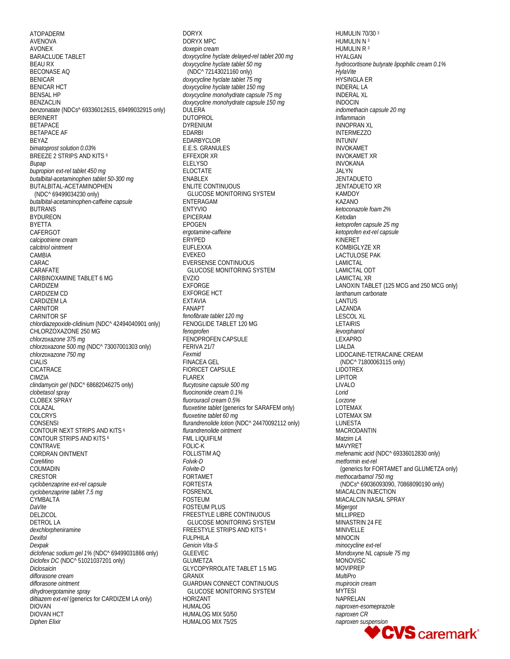ATOPADERM AVENOVA AVONEX BARACLUDE TABLET BEAU RX BECONASE AQ BENICAR BENICAR HCT BENSAL HP BENZACLIN *benzonatate* (NDCs^ 69336012615, 69499032915 only) **BERINERT** BETAPACE BETAPACE AF BEYAZ *bimatoprost solution 0.03%* BREEZE 2 STRIPS AND KITS 6 *Bupap bupropion ext-rel tablet 450 mg butalbital-acetaminophen tablet 50-300 mg* BUTALBITAL-ACETAMINOPHEN (NDC^ 69499034230 only) *butalbital-acetaminophen-caffeine capsule* BUTRANS BYDUREON BYETTA CAFERGOT *calcipotriene cream calcitriol ointment* **CAMBIA** CARAC CARAFATE CARBINOXAMINE TABLET 6 MG CARDIZEM CARDIZEM CD CARDIZEM LA CARNITOR CARNITOR SF *chlordiazepoxide-clidinium* (NDC^ 42494040901 only) CHLORZOXAZONE 250 MG *chlorzoxazone 375 mg chlorzoxazone 500 mg* (NDC^ 73007001303 only) *chlorzoxazone 750 mg* CIALIS CICATRACE CIMZIA *clindamycin gel* (NDC^ 68682046275 only) *clobetasol spray* CLOBEX SPRAY COLAZAL COLCRYS CONSENSI CONTOUR NEXT STRIPS AND KITS 6 CONTOUR STRIPS AND KITS 6 CONTRAVE CORDRAN OINTMENT *CoreMino* COUMADIN CRESTOR *cyclobenzaprine ext-rel capsule cyclobenzaprine tablet 7.5 mg* **CYMBALTA** *DaVite* DELZICOL DETROL LA *dexchlorpheniramine Dexifol Dexpak diclofenac sodium gel 1%* (NDC^ 69499031866 only) *Diclofex DC* (NDC^ 51021037201 only) *Diclosaicin diflorasone cream diflorasone ointment dihydroergotamine spray diltiazem ext-rel* (generics for CARDIZEM LA only) DIOVAN DIOVAN HCT *Diphen Elixir*

DORYX DORYX MPC *doxepin cream doxycycline hyclate delayed-rel tablet 200 mg doxycycline hyclate tablet 50 mg* (NDC^ 72143021160 only) *doxycycline hyclate tablet 75 mg doxycycline hyclate tablet 150 mg doxycycline monohydrate capsule 75 mg doxycycline monohydrate capsule 150 mg* DULERA DUTOPROL DYRENIUM EDARBI EDARBYCLOR E.E.S. GRANULES EFFEXOR XR **ELELYSO** ELOCTATE ENABLEX ENLITE CONTINUOUS GLUCOSE MONITORING SYSTEM ENTERAGAM ENTYVIO EPICERAM EPOGEN *ergotamine-caffeine* ERYPED EUFLEXXA EVEKEO EVERSENSE CONTINUOUS GLUCOSE MONITORING SYSTEM EVZIO EXFORGE EXFORGE HCT EXTAVIA FANAPT *fenofibrate tablet 120 mg* FENOGLIDE TABLET 120 MG *fenoprofen* FENOPROFEN CAPSULE FERIVA 21/7 *Fexmid* FINACEA GEL FIORICET CAPSULE FLAREX *flucytosine capsule 500 mg fluocinonide cream 0.1% fluorouracil cream 0.5% fluoxetine tablet* (generics for SARAFEM only) *fluoxetine tablet 60 mg flurandrenolide lotion* (NDC^ 24470092112 only) *flurandrenolide ointment* FML LIQUIFILM FOLIC-K FOLLISTIM AQ *Folvik-D Folvite-D* FORTAMET FORTESTA FOSRENOL FOSTEUM FOSTEUM PLUS FREESTYLE LIBRE CONTINUOUS GLUCOSE MONITORING SYSTEM FREESTYLE STRIPS AND KITS <sup>6</sup> FULPHILA *Genicin Vita-S* GLEEVEC GLUMETZA GLYCOPYRROLATE TABLET 1.5 MG GRANIX GUARDIAN CONNECT CONTINUOUS GLUCOSE MONITORING SYSTEM HORIZANT HUMALOG HUMALOG MIX 50/50 HUMALOG MIX 75/25

HUMULIN 70/30 3 HUMULIN N<sup>3</sup> HUMULIN R<sup>3</sup> HYALGAN *hydrocortisone butyrate lipophilic cream 0.1% HylaVite* HYSINGLA ER INDERAL LA INDERAL XL INDOCIN *indomethacin capsule 20 mg Inflammacin* INNOPRAN XL INTERMEZZO INTUNIV INVOKAMET INVOKAMET XR INVOKANA JALYN JENTADUETO JENTADUETO XR KAMDOY KAZANO *ketoconazole foam 2% Ketodan ketoprofen capsule 25 mg ketoprofen ext-rel capsule* KINERET KOMBIGLYZE XR LACTULOSE PAK LAMICTAL LAMICTAL ODT LAMICTAL XR LANOXIN TABLET (125 MCG and 250 MCG only) *lanthanum carbonate* LANTUS LAZANDA LESCOL XL LETAIRIS *levorphanol* LEXAPRO LIALDA LIDOCAINE-TETRACAINE CREAM (NDC^ 71800063115 only) LIDOTREX LIPITOR LIVALO *Lorid Lorzone* LOTEMAX LOTEMAX SM **LUNESTA** MACRODANTIN *Matzim LA* MAVYRET *mefenamic acid* (NDC^ 69336012830 only) *metformin ext-rel (generics for FORTAMET and GLUMETZA only) methocarbamol 750 mg* (NDCs^ 69036093090, 70868090190 only) MIACALCIN INJECTION MIACALCIN NASAL SPRAY *Migergot* MILLIPRED MINASTRIN 24 FE MINIVELLE MINOCIN *minocycline ext-rel Mondoxyne NL capsule 75 mg* MONOVISC MOVIPREP *MultiPro mupirocin cream* **MYTESI** NAPRELAN *naproxen-esomeprazole naproxen CR*

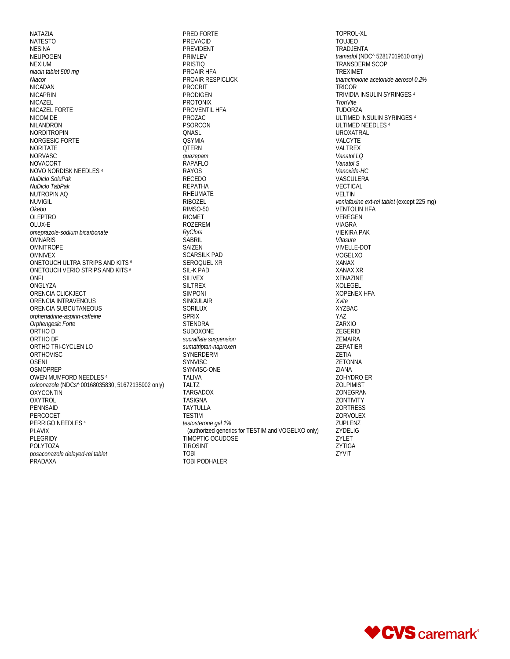NATAZIA NATESTO NESINA NEUPOGEN NEXIUM *niacin tablet 500 mg Niacor* NICADAN NICAPRIN NICAZEL NICAZEL FORTE NICOMIDE NILANDRON NORDITROPIN NORGESIC FORTE NORITATE NORVASC NOVACORT NOVO NORDISK NEEDLES <sup>4</sup> *NuDiclo SoluPak NuDiclo TabPak* NUTROPIN AQ NUVIGIL *Okebo* OLEPTRO OLUX-E *omeprazole-sodium bicarbonate* **OMNARIS** OMNITROPE OMNIVEX ONETOUCH ULTRA STRIPS AND KITS 6 ONETOUCH VERIO STRIPS AND KITS 6 ONFI ONGLYZA ORENCIA CLICKJECT ORENCIA INTRAVENOUS ORENCIA SUBCUTANEOUS *orphenadrine-aspirin-caffeine Orphengesic Forte* ORTHO D ORTHO DF ORTHO TRI-CYCLEN LO ORTHOVISC OSENI **OSMOPREP** OWEN MUMFORD NEEDLES 4 *oxiconazole* (NDCs^ 00168035830, 51672135902 only) **OXYCONTIN** OXYTROL **PENNSAID** PERCOCET PERRIGO NEEDLES 4 PLAVIX PLEGRIDY POLYTOZA *posaconazole delayed-rel tablet* PRADAXA

PRED FORTE PREVACID PREVIDENT PRIMLEV PRISTIQ PROAIR HFA PROAIR RESPICLICK PROCRIT PRODIGEN PROTONIX PROVENTIL HFA PROZAC PSORCON QNASL **QSYMIA** QTERN *quazepam* RAPAFLO RAYOS RECEDO REPATHA RHEUMATE RIBOZEL RIMSO-50 RIOMET ROZEREM *RyClora* **SABRIL** SAIZEN SCARSILK PAD SEROQUEL XR SIL-K PAD SILIVEX SILTREX SIMPONI SINGULAIR SORILUX SPRIX **STENDRA** SUBOXONE *sucralfate suspension sumatriptan-naproxen* **SYNERDERM** SYNVISC SYNVISC-ONE TALIVA TALTZ TARGADOX TASIGNA TAYTULLA TESTIM *testosterone gel 1%*  (authorized generics for TESTIM and VOGELXO only) TIMOPTIC OCUDOSE TIROSINT TOBI TOBI PODHALER

TOPROL-XL TOUJEO TRADJENTA *tramadol* (NDC^ 52817019610 only) TRANSDERM SCOP TREXIMET *triamcinolone acetonide aerosol 0.2%* TRICOR TRIVIDIA INSULIN SYRINGES 4 *TronVite* TUDORZA ULTIMED INSULIN SYRINGES 4 ULTIMED NEEDLES 4 UROXATRAL VALCYTE VALTREX *Vanatol LQ Vanatol S Vanoxide-HC* VASCULERA VECTICAL VELTIN *venlafaxine ext-rel tablet* (except 225 mg) VENTOLIN HFA VEREGEN VIAGRA VIEKIRA PAK *Vitasure* VIVELLE-DOT VOGELXO XANAX XANAX XR XENAZINE XOLEGEL XOPENEX HFA *Xvite* XYZBAC YAZ ZARXIO ZEGERID ZEMAIRA ZEPATIER ZETIA ZETONNA ZIANA ZOHYDRO ER ZOLPIMIST ZONEGRAN ZONTIVITY ZORTRESS ZORVOLEX ZUPLENZ ZYDELIG ZYLET ZYTIGA ZYVIT